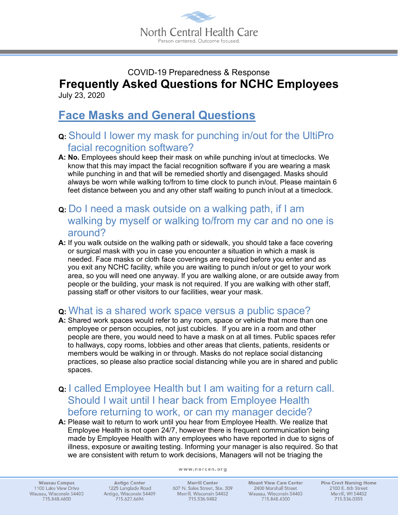

## COVID-19 Preparedness & Response **Frequently Asked Questions for NCHC Employees** July 23, 2020

## **Face Masks and General Questions**

## **Q:** Should I lower my mask for punching in/out for the UltiPro facial recognition software?

- **A: No.** Employees should keep their mask on while punching in/out at timeclocks. We know that this may impact the facial recognition software if you are wearing a mask while punching in and that will be remedied shortly and disengaged. Masks should always be worn while walking to/from to time clock to punch in/out. Please maintain 6 feet distance between you and any other staff waiting to punch in/out at a timeclock.
- **Q:** Do I need a mask outside on a walking path, if I am walking by myself or walking to/from my car and no one is around?
- **A:** If you walk outside on the walking path or sidewalk, you should take a face covering or surgical mask with you in case you encounter a situation in which a mask is needed. Face masks or cloth face coverings are required before you enter and as you exit any NCHC facility, while you are waiting to punch in/out or get to your work area, so you will need one anyway. If you are walking alone, or are outside away from people or the building, your mask is not required. If you are walking with other staff, passing staff or other visitors to our facilities, wear your mask.

## **Q:** What is a shared work space versus a public space?

- **A:** Shared work spaces would refer to any room, space or vehicle that more than one employee or person occupies, not just cubicles. If you are in a room and other people are there, you would need to have a mask on at all times. Public spaces refer to hallways, copy rooms, lobbies and other areas that clients, patients, residents or members would be walking in or through. Masks do not replace social distancing practices, so please also practice social distancing while you are in shared and public spaces.
- **Q:** I called Employee Health but I am waiting for a return call. Should I wait until I hear back from Employee Health before returning to work, or can my manager decide?
- **A:** Please wait to return to work until you hear from Employee Health. We realize that Employee Health is not open 24/7, however there is frequent communication being made by Employee Health with any employees who have reported in due to signs of illness, exposure or awaiting testing. Informing your manager is also required. So that we are consistent with return to work decisions, Managers will not be triaging the

www.norcen.org

**Wausau Campus** 1100 Lake View Drive Wausau, Wisconsin 54403 715.848.4600

**Antigo Center** 1225 Langlade Road Antigo, Wisconsin 54409 715.627.6694

**Merrill Center** 607 N. Sales Street, Ste. 309 Merrill, Wisconsin 54452 715.536.9482

**Mount View Care Center** 2400 Marshall Street Wausau, Wisconsin 54403 715.848.4300

**Pine Crest Nursing Home** 2100 E. 6th Street Merrill, WI 54452 715.536.0355